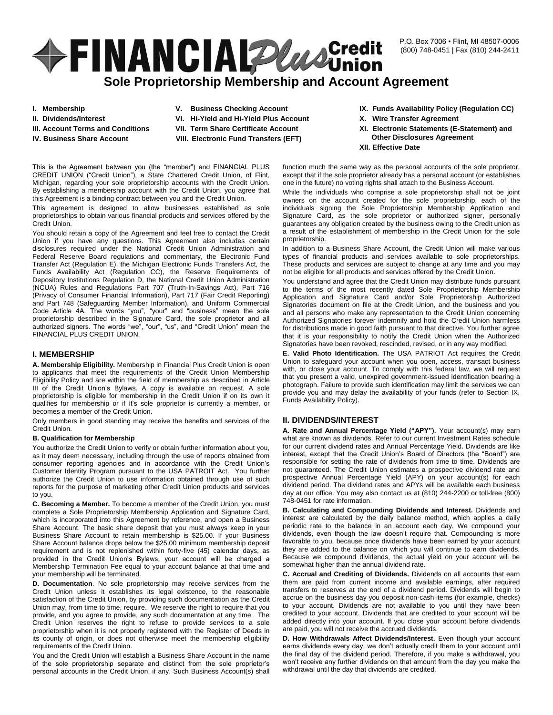P.O. Box 7006 • Flint, MI 48507-0006 (800) 748-0451 | Fax (810) 244-2411

# **+FINANCIALPlusCredit**

# **Sole Proprietorship Membership and Account Agreement**

- **I. Membership**
- **II. Dividends/Interest**
- **III. Account Terms and Conditions**
- **IV. Business Share Account**
- **V. Business Checking Account**
- **VI. Hi-Yield and Hi-Yield Plus Account**
- **VII. Term Share Certificate Account**
- **VIII. Electronic Fund Transfers (EFT)**

This is the Agreement between you (the "member") and FINANCIAL PLUS CREDIT UNION ("Credit Union"), a State Chartered Credit Union, of Flint, Michigan, regarding your sole proprietorship accounts with the Credit Union. By establishing a membership account with the Credit Union, you agree that this Agreement is a binding contract between you and the Credit Union.

This agreement is designed to allow businesses established as sole proprietorships to obtain various financial products and services offered by the Credit Union.

You should retain a copy of the Agreement and feel free to contact the Credit Union if you have any questions. This Agreement also includes certain disclosures required under the National Credit Union Administration and Federal Reserve Board regulations and commentary, the Electronic Fund Transfer Act (Regulation E), the Michigan Electronic Funds Transfers Act, the Funds Availability Act (Regulation CC), the Reserve Requirements of Depository Institutions Regulation D, the National Credit Union Administration (NCUA) Rules and Regulations Part 707 (Truth-In-Savings Act), Part 716 (Privacy of Consumer Financial Information), Part 717 (Fair Credit Reporting) and Part 748 (Safeguarding Member Information), and Uniform Commercial Code Article 4A. The words "you", "your" and "business" mean the sole proprietorship described in the Signature Card, the sole proprietor and all authorized signers. The words "we", "our", "us", and "Credit Union" mean the FINANCIAL PLUS CREDIT UNION.

# **I. MEMBERSHIP**

**A. Membership Eligibility.** Membership in Financial Plus Credit Union is open to applicants that meet the requirements of the Credit Union Membership Eligibility Policy and are within the field of membership as described in Article III of the Credit Union's Bylaws. A copy is available on request. A sole proprietorship is eligible for membership in the Credit Union if on its own it qualifies for membership or if it's sole proprietor is currently a member, or becomes a member of the Credit Union.

Only members in good standing may receive the benefits and services of the Credit Union.

# **B. Qualification for Membership**

You authorize the Credit Union to verify or obtain further information about you, as it may deem necessary, including through the use of reports obtained from consumer reporting agencies and in accordance with the Credit Union's Customer Identity Program pursuant to the USA PATROIT Act. You further authorize the Credit Union to use information obtained through use of such reports for the purpose of marketing other Credit Union products and services to you.

**C. Becoming a Member.** To become a member of the Credit Union, you must complete a Sole Proprietorship Membership Application and Signature Card, which is incorporated into this Agreement by reference, and open a Business Share Account. The basic share deposit that you must always keep in your Business Share Account to retain membership is \$25.00. If your Business Share Account balance drops below the \$25.00 minimum membership deposit requirement and is not replenished within forty-five (45) calendar days, as provided in the Credit Union's Bylaws, your account will be charged a Membership Termination Fee equal to your account balance at that time and your membership will be terminated.

**D. Documentation**. No sole proprietorship may receive services from the Credit Union unless it establishes its legal existence, to the reasonable satisfaction of the Credit Union, by providing such documentation as the Credit Union may, from time to time, require. We reserve the right to require that you provide, and you agree to provide, any such documentation at any time. The Credit Union reserves the right to refuse to provide services to a sole proprietorship when it is not properly registered with the Register of Deeds in its county of origin, or does not otherwise meet the membership eligibility requirements of the Credit Union.

You and the Credit Union will establish a Business Share Account in the name of the sole proprietorship separate and distinct from the sole proprietor's personal accounts in the Credit Union, if any. Such Business Account(s) shall

- **IX. Funds Availability Policy (Regulation CC)**
- **X. Wire Transfer Agreement**
- **XI. Electronic Statements (E-Statement) and Other Disclosures Agreement**
- **XII. Effective Date**

function much the same way as the personal accounts of the sole proprietor, except that if the sole proprietor already has a personal account (or establishes one in the future) no voting rights shall attach to the Business Account.

While the individuals who comprise a sole proprietorship shall not be joint owners on the account created for the sole proprietorship, each of the individuals signing the Sole Proprietorship Membership Application and Signature Card, as the sole proprietor or authorized signer, personally guarantees any obligation created by the business owing to the Credit union as a result of the establishment of membership in the Credit Union for the sole proprietorship.

In addition to a Business Share Account, the Credit Union will make various types of financial products and services available to sole proprietorships. These products and services are subject to change at any time and you may not be eligible for all products and services offered by the Credit Union.

You understand and agree that the Credit Union may distribute funds pursuant to the terms of the most recently dated Sole Proprietorship Membership Application and Signature Card and/or Sole Proprietorship Authorized Signatories document on file at the Credit Union, and the business and you and all persons who make any representation to the Credit Union concerning Authorized Signatories forever indemnify and hold the Credit Union harmless for distributions made in good faith pursuant to that directive. You further agree that it is your responsibility to notify the Credit Union when the Authorized Signatories have been revoked, rescinded, revised, or in any way modified.

**E. Valid Photo Identification.** The USA PATRIOT Act requires the Credit Union to safeguard your account when you open, access, transact business with, or close your account. To comply with this federal law, we will request that you present a valid, unexpired government-issued identification bearing a photograph. Failure to provide such identification may limit the services we can provide you and may delay the availability of your funds (refer to Section IX, Funds Availability Policy).

# **II. DIVIDENDS/INTEREST**

**A. Rate and Annual Percentage Yield ("APY").** Your account(s) may earn what are known as dividends. Refer to our current Investment Rates schedule for our current dividend rates and Annual Percentage Yield. Dividends are like interest, except that the Credit Union's Board of Directors (the "Board") are responsible for setting the rate of dividends from time to time. Dividends are not guaranteed. The Credit Union estimates a prospective dividend rate and prospective Annual Percentage Yield (APY) on your account(s) for each dividend period. The dividend rates and APYs will be available each business day at our office. You may also contact us at (810) 244-2200 or toll-free (800) 748-0451 for rate information.

**B. Calculating and Compounding Dividends and Interest.** Dividends and interest are calculated by the daily balance method, which applies a daily periodic rate to the balance in an account each day. We compound your dividends, even though the law doesn't require that. Compounding is more favorable to you, because once dividends have been earned by your account they are added to the balance on which you will continue to earn dividends. Because we compound dividends, the actual yield on your account will be somewhat higher than the annual dividend rate.

**C. Accrual and Crediting of Dividends.** Dividends on all accounts that earn them are paid from current income and available earnings, after required transfers to reserves at the end of a dividend period. Dividends will begin to accrue on the business day you deposit non-cash items (for example, checks) to your account. Dividends are not available to you until they have been credited to your account. Dividends that are credited to your account will be added directly into your account. If you close your account before dividends are paid, you will not receive the accrued dividends.

**D. How Withdrawals Affect Dividends/Interest.** Even though your account earns dividends every day, we don't actually credit them to your account until the final day of the dividend period. Therefore, if you make a withdrawal, you won't receive any further dividends on that amount from the day you make the withdrawal until the day that dividends are credited.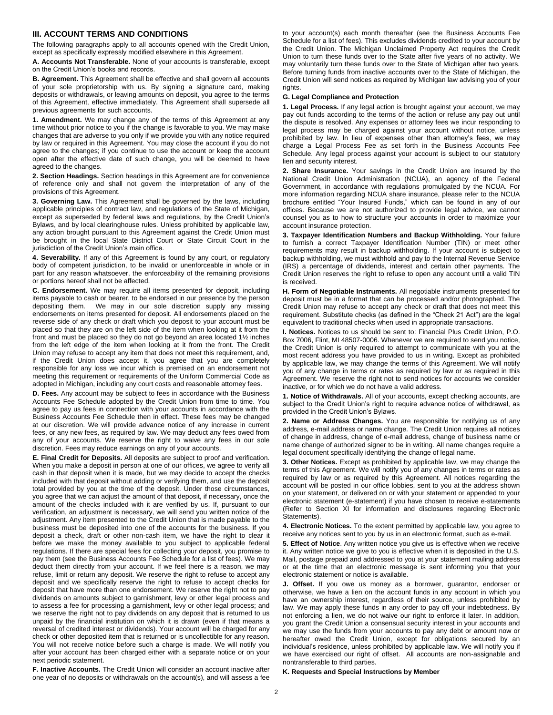# **III. ACCOUNT TERMS AND CONDITIONS**

The following paragraphs apply to all accounts opened with the Credit Union, except as specifically expressly modified elsewhere in this Agreement.

**A. Accounts Not Transferable.** None of your accounts is transferable, except on the Credit Union's books and records.

**B. Agreement.** This Agreement shall be effective and shall govern all accounts of your sole proprietorship with us. By signing a signature card, making deposits or withdrawals, or leaving amounts on deposit, you agree to the terms of this Agreement, effective immediately. This Agreement shall supersede all previous agreements for such accounts.

**1. Amendment.** We may change any of the terms of this Agreement at any time without prior notice to you if the change is favorable to you. We may make changes that are adverse to you only if we provide you with any notice required by law or required in this Agreement. You may close the account if you do not agree to the changes; if you continue to use the account or keep the account open after the effective date of such change, you will be deemed to have agreed to the changes.

**2. Section Headings.** Section headings in this Agreement are for convenience of reference only and shall not govern the interpretation of any of the provisions of this Agreement.

**3. Governing Law.** This Agreement shall be governed by the laws, including applicable principles of contract law, and regulations of the State of Michigan, except as superseded by federal laws and regulations, by the Credit Union's Bylaws, and by local clearinghouse rules. Unless prohibited by applicable law, any action brought pursuant to this Agreement against the Credit Union must be brought in the local State District Court or State Circuit Court in the jurisdiction of the Credit Union's main office.

**4. Severability.** If any of this Agreement is found by any court, or regulatory body of competent jurisdiction, to be invalid or unenforceable in whole or in part for any reason whatsoever, the enforceability of the remaining provisions or portions hereof shall not be affected.

**C. Endorsement.** We may require all items presented for deposit, including items payable to cash or bearer, to be endorsed in our presence by the person depositing them. We may in our sole discretion supply any missing endorsements on items presented for deposit. All endorsements placed on the reverse side of any check or draft which you deposit to your account must be placed so that they are on the left side of the item when looking at it from the front and must be placed so they do not go beyond an area located 1½ inches from the left edge of the item when looking at it from the front. The Credit Union may refuse to accept any item that does not meet this requirement, and, if the Credit Union does accept it, you agree that you are completely responsible for any loss we incur which is premised on an endorsement not meeting this requirement or requirements of the Uniform Commercial Code as adopted in Michigan, including any court costs and reasonable attorney fees.

**D. Fees.** Any account may be subject to fees in accordance with the Business Accounts Fee Schedule adopted by the Credit Union from time to time. You agree to pay us fees in connection with your accounts in accordance with the Business Accounts Fee Schedule then in effect. These fees may be changed at our discretion. We will provide advance notice of any increase in current fees, or any new fees, as required by law. We may deduct any fees owed from any of your accounts. We reserve the right to waive any fees in our sole discretion. Fees may reduce earnings on any of your accounts.

**E. Final Credit for Deposits.** All deposits are subject to proof and verification. When you make a deposit in person at one of our offices, we agree to verify all cash in that deposit when it is made, but we may decide to accept the checks included with that deposit without adding or verifying them, and use the deposit total provided by you at the time of the deposit. Under those circumstances, you agree that we can adjust the amount of that deposit, if necessary, once the amount of the checks included with it are verified by us. If, pursuant to our verification, an adjustment is necessary, we will send you written notice of the adjustment. Any item presented to the Credit Union that is made payable to the business must be deposited into one of the accounts for the business. If you deposit a check, draft or other non-cash item, we have the right to clear it before we make the money available to you subject to applicable federal regulations. If there are special fees for collecting your deposit, you promise to pay them (see the Business Accounts Fee Schedule for a list of fees). We may deduct them directly from your account. If we feel there is a reason, we may refuse, limit or return any deposit. We reserve the right to refuse to accept any deposit and we specifically reserve the right to refuse to accept checks for deposit that have more than one endorsement. We reserve the right not to pay dividends on amounts subject to garnishment, levy or other legal process and to assess a fee for processing a garnishment, levy or other legal process; and we reserve the right not to pay dividends on any deposit that is returned to us unpaid by the financial institution on which it is drawn (even if that means a reversal of credited interest or dividends). Your account will be charged for any check or other deposited item that is returned or is uncollectible for any reason. You will not receive notice before such a charge is made. We will notify you after your account has been charged either with a separate notice or on your next periodic statement.

**F. Inactive Accounts.** The Credit Union will consider an account inactive after one year of no deposits or withdrawals on the account(s), and will assess a fee

to your account(s) each month thereafter (see the Business Accounts Fee Schedule for a list of fees). This excludes dividends credited to your account by the Credit Union. The Michigan Unclaimed Property Act requires the Credit Union to turn these funds over to the State after five years of no activity. We may voluntarily turn these funds over to the State of Michigan after two years. Before turning funds from inactive accounts over to the State of Michigan, the Credit Union will send notices as required by Michigan law advising you of your rights.

#### **G. Legal Compliance and Protection**

**1. Legal Process.** If any legal action is brought against your account, we may pay out funds according to the terms of the action or refuse any pay out until the dispute is resolved. Any expenses or attorney fees we incur responding to legal process may be charged against your account without notice, unless prohibited by law. In lieu of expenses other than attorney's fees, we may charge a Legal Process Fee as set forth in the Business Accounts Fee Schedule. Any legal process against your account is subject to our statutory lien and security interest.

**2. Share Insurance.** Your savings in the Credit Union are insured by the National Credit Union Administration (NCUA), an agency of the Federal Government, in accordance with regulations promulgated by the NCUA. For more information regarding NCUA share insurance, please refer to the NCUA brochure entitled "Your Insured Funds," which can be found in any of our offices. Because we are not authorized to provide legal advice, we cannot counsel you as to how to structure your accounts in order to maximize your account insurance protection.

**3. Taxpayer Identification Numbers and Backup Withholding.** Your failure to furnish a correct Taxpayer Identification Number (TIN) or meet other requirements may result in backup withholding. If your account is subject to backup withholding, we must withhold and pay to the Internal Revenue Service (IRS) a percentage of dividends, interest and certain other payments. The Credit Union reserves the right to refuse to open any account until a valid TIN is received.

**H. Form of Negotiable Instruments.** All negotiable instruments presented for deposit must be in a format that can be processed and/or photographed. The Credit Union may refuse to accept any check or draft that does not meet this requirement. Substitute checks (as defined in the "Check 21 Act") are the legal equivalent to traditional checks when used in appropriate transactions.

**I. Notices.** Notices to us should be sent to: Financial Plus Credit Union, P.O. Box 7006, Flint, MI 48507-0006. Whenever we are required to send you notice, the Credit Union is only required to attempt to communicate with you at the most recent address you have provided to us in writing. Except as prohibited by applicable law, we may change the terms of this Agreement. We will notify you of any change in terms or rates as required by law or as required in this Agreement. We reserve the right not to send notices for accounts we consider inactive, or for which we do not have a valid address.

**1. Notice of Withdrawals.** All of your accounts, except checking accounts, are subject to the Credit Union's right to require advance notice of withdrawal, as provided in the Credit Union's Bylaws.

**2. Name or Address Changes.** You are responsible for notifying us of any address, e-mail address or name change. The Credit Union requires all notices of change in address, change of e-mail address, change of business name or name change of authorized signer to be in writing. All name changes require a legal document specifically identifying the change of legal name.

**3. Other Notices.** Except as prohibited by applicable law, we may change the terms of this Agreement. We will notify you of any changes in terms or rates as required by law or as required by this Agreement. All notices regarding the account will be posted in our office lobbies, sent to you at the address shown on your statement, or delivered on or with your statement or appended to your electronic statement (e-statement) if you have chosen to receive e-statements (Refer to Section XI for information and disclosures regarding Electronic Statements).

**4. Electronic Notices.** To the extent permitted by applicable law, you agree to receive any notices sent to you by us in an electronic format, such as e-mail.

**5. Effect of Notice**. Any written notice you give us is effective when we receive it. Any written notice we give to you is effective when it is deposited in the U.S. Mail, postage prepaid and addressed to you at your statement mailing address or at the time that an electronic message is sent informing you that your electronic statement or notice is available.

**J. Offset.** If you owe us money as a borrower, guarantor, endorser or otherwise, we have a lien on the account funds in any account in which you have an ownership interest, regardless of their source, unless prohibited by law. We may apply these funds in any order to pay off your indebtedness. By not enforcing a lien, we do not waive our right to enforce it later. In addition, you grant the Credit Union a consensual security interest in your accounts and we may use the funds from your accounts to pay any debt or amount now or hereafter owed the Credit Union, except for obligations secured by an individual's residence, unless prohibited by applicable law. We will notify you if we have exercised our right of offset. All accounts are non-assignable and nontransferable to third parties.

#### **K. Requests and Special Instructions by Member**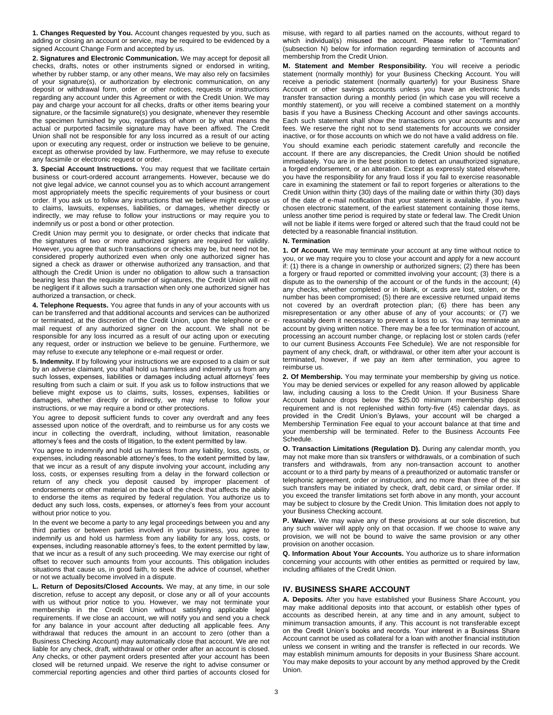**1. Changes Requested by You.** Account changes requested by you, such as adding or closing an account or service, may be required to be evidenced by a signed Account Change Form and accepted by us.

**2. Signatures and Electronic Communication.** We may accept for deposit all checks, drafts, notes or other instruments signed or endorsed in writing, whether by rubber stamp, or any other means, We may also rely on facsimiles of your signature(s), or authorization by electronic communication, on any deposit or withdrawal form, order or other notices, requests or instructions regarding any account under this Agreement or with the Credit Union. We may pay and charge your account for all checks, drafts or other items bearing your signature, or the facsimile signature(s) you designate, whenever they resemble the specimen furnished by you, regardless of whom or by what means the actual or purported facsimile signature may have been affixed. The Credit Union shall not be responsible for any loss incurred as a result of our acting upon or executing any request, order or instruction we believe to be genuine, except as otherwise provided by law. Furthermore, we may refuse to execute any facsimile or electronic request or order.

**3. Special Account Instructions.** You may request that we facilitate certain business or court-ordered account arrangements. However, because we do not give legal advice, we cannot counsel you as to which account arrangement most appropriately meets the specific requirements of your business or court order. If you ask us to follow any instructions that we believe might expose us to claims, lawsuits, expenses, liabilities, or damages, whether directly or indirectly, we may refuse to follow your instructions or may require you to indemnify us or post a bond or other protection.

Credit Union may permit you to designate, or order checks that indicate that the signatures of two or more authorized signers are required for validity. However, you agree that such transactions or checks may be, but need not be, considered properly authorized even when only one authorized signer has signed a check as drawer or otherwise authorized any transaction, and that although the Credit Union is under no obligation to allow such a transaction bearing less than the requisite number of signatures, the Credit Union will not be negligent if it allows such a transaction when only one authorized signer has authorized a transaction, or check.

**4. Telephone Requests.** You agree that funds in any of your accounts with us can be transferred and that additional accounts and services can be authorized or terminated, at the discretion of the Credit Union, upon the telephone or email request of any authorized signer on the account. We shall not be responsible for any loss incurred as a result of our acting upon or executing any request, order or instruction we believe to be genuine. Furthermore, we may refuse to execute any telephone or e-mail request or order.

**5. Indemnity.** If by following your instructions we are exposed to a claim or suit by an adverse claimant, you shall hold us harmless and indemnify us from any such losses, expenses, liabilities or damages including actual attorneys' fees resulting from such a claim or suit. If you ask us to follow instructions that we believe might expose us to claims, suits, losses, expenses, liabilities or damages, whether directly or indirectly, we may refuse to follow your instructions, or we may require a bond or other protections.

You agree to deposit sufficient funds to cover any overdraft and any fees assessed upon notice of the overdraft, and to reimburse us for any costs we incur in collecting the overdraft, including, without limitation, reasonable attorney's fees and the costs of litigation, to the extent permitted by law.

You agree to indemnify and hold us harmless from any liability, loss, costs, or expenses, including reasonable attorney's fees, to the extent permitted by law, that we incur as a result of any dispute involving your account, including any loss, costs, or expenses resulting from a delay in the forward collection or return of any check you deposit caused by improper placement of endorsements or other material on the back of the check that affects the ability to endorse the items as required by federal regulation. You authorize us to deduct any such loss, costs, expenses, or attorney's fees from your account without prior notice to you.

In the event we become a party to any legal proceedings between you and any third parties or between parties involved in your business, you agree to indemnify us and hold us harmless from any liability for any loss, costs, or expenses, including reasonable attorney's fees, to the extent permitted by law, that we incur as a result of any such proceeding. We may exercise our right of offset to recover such amounts from your accounts. This obligation includes situations that cause us, in good faith, to seek the advice of counsel, whether or not we actually become involved in a dispute.

**L. Return of Deposits/Closed Accounts.** We may, at any time, in our sole discretion, refuse to accept any deposit, or close any or all of your accounts with us without prior notice to you. However, we may not terminate your membership in the Credit Union without satisfying applicable legal requirements. If we close an account, we will notify you and send you a check for any balance in your account after deducting all applicable fees. Any withdrawal that reduces the amount in an account to zero (other than a Business Checking Account) may automatically close that account. We are not liable for any check, draft, withdrawal or other order after an account is closed. Any checks, or other payment orders presented after your account has been closed will be returned unpaid. We reserve the right to advise consumer or commercial reporting agencies and other third parties of accounts closed for

misuse, with regard to all parties named on the accounts, without regard to which individual(s) misused the account. Please refer to "Termination" (subsection N) below for information regarding termination of accounts and membership from the Credit Union.

**M. Statement and Member Responsibility.** You will receive a periodic statement (normally monthly) for your Business Checking Account. You will receive a periodic statement (normally quarterly) for your Business Share Account or other savings accounts unless you have an electronic funds transfer transaction during a monthly period (in which case you will receive a monthly statement), or you will receive a combined statement on a monthly basis if you have a Business Checking Account and other savings accounts. Each such statement shall show the transactions on your accounts and any fees. We reserve the right not to send statements for accounts we consider inactive, or for those accounts on which we do not have a valid address on file.

You should examine each periodic statement carefully and reconcile the account. If there are any discrepancies, the Credit Union should be notified immediately. You are in the best position to detect an unauthorized signature, a forged endorsement, or an alteration. Except as expressly stated elsewhere, you have the responsibility for any fraud loss if you fail to exercise reasonable care in examining the statement or fail to report forgeries or alterations to the Credit Union within thirty (30) days of the mailing date or within thirty (30) days of the date of e-mail notification that your statement is available, if you have chosen electronic statement, of the earliest statement containing those items, unless another time period is required by state or federal law. The Credit Union will not be liable if items were forged or altered such that the fraud could not be detected by a reasonable financial institution.

#### **N. Termination**

**1. Of Account.** We may terminate your account at any time without notice to you, or we may require you to close your account and apply for a new account if: (1) there is a change in ownership or authorized signers; (2) there has been a forgery or fraud reported or committed involving your account; (3) there is a dispute as to the ownership of the account or of the funds in the account; (4) any checks, whether completed or in blank, or cards are lost, stolen, or the number has been compromised; (5) there are excessive returned unpaid items not covered by an overdraft protection plan; (6) there has been any misrepresentation or any other abuse of any of your accounts; or (7) we reasonably deem it necessary to prevent a loss to us. You may terminate an account by giving written notice. There may be a fee for termination of account, processing an account number change, or replacing lost or stolen cards (refer to our current Business Accounts Fee Schedule). We are not responsible for payment of any check, draft, or withdrawal, or other item after your account is terminated, however, if we pay an item after termination, you agree to reimburse us.

**2. Of Membership.** You may terminate your membership by giving us notice. You may be denied services or expelled for any reason allowed by applicable law, including causing a loss to the Credit Union. If your Business Share Account balance drops below the \$25.00 minimum membership deposit requirement and is not replenished within forty-five (45) calendar days, as provided in the Credit Union's Bylaws, your account will be charged a Membership Termination Fee equal to your account balance at that time and your membership will be terminated. Refer to the Business Accounts Fee Schedule.

**O. Transaction Limitations (Regulation D).** During any calendar month, you may not make more than six transfers or withdrawals, or a combination of such transfers and withdrawals, from any non-transaction account to another account or to a third party by means of a preauthorized or automatic transfer or telephonic agreement, order or instruction, and no more than three of the six such transfers may be initiated by check, draft, debit card, or similar order. If you exceed the transfer limitations set forth above in any month, your account may be subject to closure by the Credit Union. This limitation does not apply to your Business Checking account.

**P. Waiver.** We may waive any of these provisions at our sole discretion, but any such waiver will apply only on that occasion. If we choose to waive any provision, we will not be bound to waive the same provision or any other provision on another occasion.

**Q. Information About Your Accounts.** You authorize us to share information concerning your accounts with other entities as permitted or required by law, including affiliates of the Credit Union.

# **IV. BUSINESS SHARE ACCOUNT**

**A. Deposits.** After you have established your Business Share Account, you may make additional deposits into that account, or establish other types of accounts as described herein, at any time and in any amount, subject to minimum transaction amounts, if any. This account is not transferable except on the Credit Union's books and records. Your interest in a Business Share Account cannot be used as collateral for a loan with another financial institution unless we consent in writing and the transfer is reflected in our records. We may establish minimum amounts for deposits in your Business Share account. You may make deposits to your account by any method approved by the Credit Union.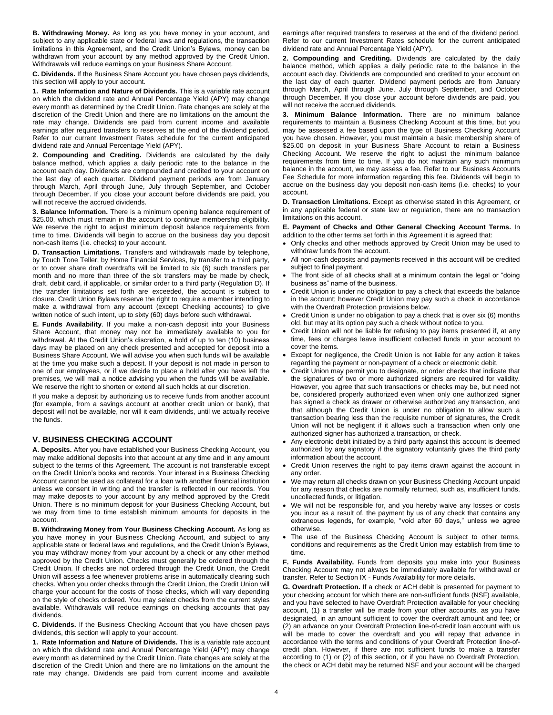**B. Withdrawing Money.** As long as you have money in your account, and subject to any applicable state or federal laws and regulations, the transaction limitations in this Agreement, and the Credit Union's Bylaws, money can be withdrawn from your account by any method approved by the Credit Union. Withdrawals will reduce earnings on your Business Share Account.

**C. Dividends.** If the Business Share Account you have chosen pays dividends, this section will apply to your account.

**1. Rate Information and Nature of Dividends.** This is a variable rate account on which the dividend rate and Annual Percentage Yield (APY) may change every month as determined by the Credit Union. Rate changes are solely at the discretion of the Credit Union and there are no limitations on the amount the rate may change. Dividends are paid from current income and available earnings after required transfers to reserves at the end of the dividend period. Refer to our current Investment Rates schedule for the current anticipated dividend rate and Annual Percentage Yield (APY).

**2. Compounding and Crediting.** Dividends are calculated by the daily balance method, which applies a daily periodic rate to the balance in the account each day. Dividends are compounded and credited to your account on the last day of each quarter. Dividend payment periods are from January through March, April through June, July through September, and October through December. If you close your account before dividends are paid, you will not receive the accrued dividends.

**3. Balance Information.** There is a minimum opening balance requirement of \$25.00, which must remain in the account to continue membership eligibility. We reserve the right to adjust minimum deposit balance requirements from time to time. Dividends will begin to accrue on the business day you deposit non-cash items (i.e. checks) to your account.

**D. Transaction Limitations.** Transfers and withdrawals made by telephone, by Touch Tone Teller, by Home Financial Services, by transfer to a third party, or to cover share draft overdrafts will be limited to six (6) such transfers per month and no more than three of the six transfers may be made by check, draft, debit card, if applicable, or similar order to a third party (Regulation D). If the transfer limitations set forth are exceeded, the account is subject to closure. Credit Union Bylaws reserve the right to require a member intending to make a withdrawal from any account (except Checking accounts) to give written notice of such intent, up to sixty (60) days before such withdrawal.

**E. Funds Availability**. If you make a non-cash deposit into your Business Share Account, that money may not be immediately available to you for withdrawal. At the Credit Union's discretion, a hold of up to ten (10) business days may be placed on any check presented and accepted for deposit into a Business Share Account. We will advise you when such funds will be available at the time you make such a deposit. If your deposit is not made in person to one of our employees, or if we decide to place a hold after you have left the premises, we will mail a notice advising you when the funds will be available. We reserve the right to shorten or extend all such holds at our discretion.

If you make a deposit by authorizing us to receive funds from another account (for example, from a savings account at another credit union or bank), that deposit will not be available, nor will it earn dividends, until we actually receive the funds.

# **V. BUSINESS CHECKING ACCOUNT**

**A. Deposits.** After you have established your Business Checking Account, you may make additional deposits into that account at any time and in any amount subject to the terms of this Agreement. The account is not transferable except on the Credit Union's books and records. Your interest in a Business Checking Account cannot be used as collateral for a loan with another financial institution unless we consent in writing and the transfer is reflected in our records. You may make deposits to your account by any method approved by the Credit Union. There is no minimum deposit for your Business Checking Account, but we may from time to time establish minimum amounts for deposits in the account.

**B. Withdrawing Money from Your Business Checking Account.** As long as you have money in your Business Checking Account, and subject to any applicable state or federal laws and regulations, and the Credit Union's Bylaws, you may withdraw money from your account by a check or any other method approved by the Credit Union. Checks must generally be ordered through the Credit Union. If checks are not ordered through the Credit Union, the Credit Union will assess a fee whenever problems arise in automatically clearing such checks. When you order checks through the Credit Union, the Credit Union will charge your account for the costs of those checks, which will vary depending on the style of checks ordered. You may select checks from the current styles available. Withdrawals will reduce earnings on checking accounts that pay dividends.

**C. Dividends.** If the Business Checking Account that you have chosen pays dividends, this section will apply to your account.

**1. Rate Information and Nature of Dividends.** This is a variable rate account on which the dividend rate and Annual Percentage Yield (APY) may change every month as determined by the Credit Union. Rate changes are solely at the discretion of the Credit Union and there are no limitations on the amount the rate may change. Dividends are paid from current income and available

earnings after required transfers to reserves at the end of the dividend period. Refer to our current Investment Rates schedule for the current anticipated dividend rate and Annual Percentage Yield (APY).

**2. Compounding and Crediting.** Dividends are calculated by the daily balance method, which applies a daily periodic rate to the balance in the account each day. Dividends are compounded and credited to your account on the last day of each quarter. Dividend payment periods are from January through March, April through June, July through September, and October through December. If you close your account before dividends are paid, you will not receive the accrued dividends.

**3. Minimum Balance Information.** There are no minimum balance requirements to maintain a Business Checking Account at this time, but you may be assessed a fee based upon the type of Business Checking Account you have chosen. However, you must maintain a basic membership share of \$25.00 on deposit in your Business Share Account to retain a Business Checking Account. We reserve the right to adjust the minimum balance requirements from time to time. If you do not maintain any such minimum balance in the account, we may assess a fee. Refer to our Business Accounts Fee Schedule for more information regarding this fee. Dividends will begin to accrue on the business day you deposit non-cash items (i.e. checks) to your account.

**D. Transaction Limitations.** Except as otherwise stated in this Agreement, or in any applicable federal or state law or regulation, there are no transaction limitations on this account.

**E. Payment of Checks and Other General Checking Account Terms.** In addition to the other terms set forth in this Agreement it is agreed that:

- Only checks and other methods approved by Credit Union may be used to withdraw funds from the account.
- All non-cash deposits and payments received in this account will be credited subject to final payment.
- The front side of all checks shall at a minimum contain the legal or "doing business as" name of the business.
- Credit Union is under no obligation to pay a check that exceeds the balance in the account; however Credit Union may pay such a check in accordance with the Overdraft Protection provisions below.
- Credit Union is under no obligation to pay a check that is over six (6) months old, but may at its option pay such a check without notice to you.
- Credit Union will not be liable for refusing to pay items presented if, at any time, fees or charges leave insufficient collected funds in your account to cover the items.
- Except for negligence, the Credit Union is not liable for any action it takes regarding the payment or non-payment of a check or electronic debit.
- Credit Union may permit you to designate, or order checks that indicate that the signatures of two or more authorized signers are required for validity. However, you agree that such transactions or checks may be, but need not be, considered properly authorized even when only one authorized signer has signed a check as drawer or otherwise authorized any transaction, and that although the Credit Union is under no obligation to allow such a transaction bearing less than the requisite number of signatures, the Credit Union will not be negligent if it allows such a transaction when only one authorized signer has authorized a transaction, or check.
- Any electronic debit initiated by a third party against this account is deemed authorized by any signatory if the signatory voluntarily gives the third party information about the account.
- Credit Union reserves the right to pay items drawn against the account in any order.
- We may return all checks drawn on your Business Checking Account unpaid for any reason that checks are normally returned, such as, insufficient funds, uncollected funds, or litigation.
- We will not be responsible for, and you hereby waive any losses or costs you incur as a result of, the payment by us of any check that contains any extraneous legends, for example, "void after 60 days," unless we agree otherwise.
- The use of the Business Checking Account is subject to other terms, conditions and requirements as the Credit Union may establish from time to time.

**F. Funds Availability.** Funds from deposits you make into your Business Checking Account may not always be immediately available for withdrawal or transfer. Refer to Section IX - Funds Availability for more details.

**G. Overdraft Protection.** If a check or ACH debit is presented for payment to your checking account for which there are non-sufficient funds (NSF) available, and you have selected to have Overdraft Protection available for your checking account, (1) a transfer will be made from your other accounts, as you have designated, in an amount sufficient to cover the overdraft amount and fee; or (2) an advance on your Overdraft Protection line-of-credit loan account with us will be made to cover the overdraft and you will repay that advance in accordance with the terms and conditions of your Overdraft Protection line-ofcredit plan. However, if there are not sufficient funds to make a transfer according to (1) or (2) of this section, or if you have no Overdraft Protection, the check or ACH debit may be returned NSF and your account will be charged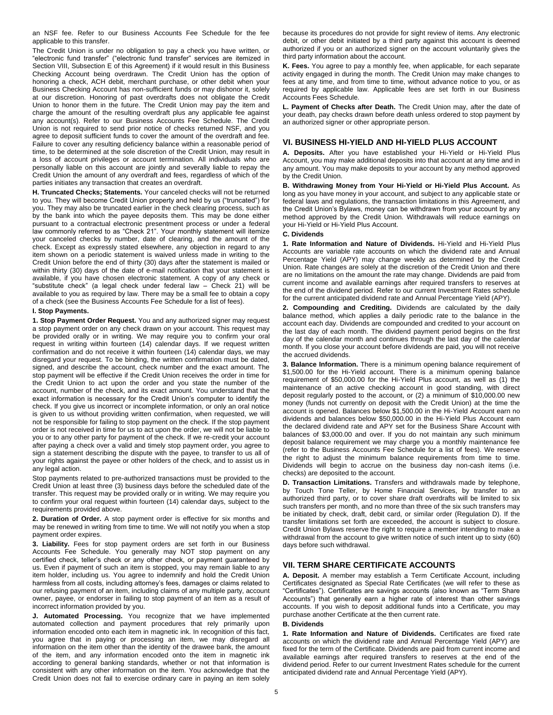an NSF fee. Refer to our Business Accounts Fee Schedule for the fee applicable to this transfer.

The Credit Union is under no obligation to pay a check you have written, or "electronic fund transfer" ("electronic fund transfer" services are itemized in Section VIII, Subsection E of this Agreement) if it would result in this Business Checking Account being overdrawn. The Credit Union has the option of honoring a check, ACH debit, merchant purchase, or other debit when your Business Checking Account has non-sufficient funds or may dishonor it, solely at our discretion. Honoring of past overdrafts does not obligate the Credit Union to honor them in the future. The Credit Union may pay the item and charge the amount of the resulting overdraft plus any applicable fee against any account(s). Refer to our Business Accounts Fee Schedule. The Credit Union is not required to send prior notice of checks returned NSF, and you agree to deposit sufficient funds to cover the amount of the overdraft and fee. Failure to cover any resulting deficiency balance within a reasonable period of time, to be determined at the sole discretion of the Credit Union, may result in a loss of account privileges or account termination. All individuals who are personally liable on this account are jointly and severally liable to repay the Credit Union the amount of any overdraft and fees, regardless of which of the parties initiates any transaction that creates an overdraft.

**H. Truncated Checks; Statements.** Your canceled checks will not be returned to you. They will become Credit Union property and held by us ("truncated") for you. They may also be truncated earlier in the check clearing process, such as by the bank into which the payee deposits them. This may be done either pursuant to a contractual electronic presentment process or under a federal law commonly referred to as "Check 21". Your monthly statement will itemize your canceled checks by number, date of clearing, and the amount of the check. Except as expressly stated elsewhere, any objection in regard to any item shown on a periodic statement is waived unless made in writing to the Credit Union before the end of thirty (30) days after the statement is mailed or within thirty (30) days of the date of e-mail notification that your statement is available, if you have chosen electronic statement. A copy of any check or "substitute check" (a legal check under federal law – Check 21) will be available to you as required by law. There may be a small fee to obtain a copy of a check (see the Business Accounts Fee Schedule for a list of fees).

# **I. Stop Payments.**

**1. Stop Payment Order Request.** You and any authorized signer may request a stop payment order on any check drawn on your account. This request may be provided orally or in writing. We may require you to confirm your oral request in writing within fourteen (14) calendar days. If we request written confirmation and do not receive it within fourteen (14) calendar days, we may disregard your request. To be binding, the written confirmation must be dated, signed, and describe the account, check number and the exact amount. The stop payment will be effective if the Credit Union receives the order in time for the Credit Union to act upon the order and you state the number of the account, number of the check, and its exact amount. You understand that the exact information is necessary for the Credit Union's computer to identify the check. If you give us incorrect or incomplete information, or only an oral notice is given to us without providing written confirmation, when requested, we will not be responsible for failing to stop payment on the check. If the stop payment order is not received in time for us to act upon the order, we will not be liable to you or to any other party for payment of the check. If we re-credit your account after paying a check over a valid and timely stop payment order, you agree to sign a statement describing the dispute with the payee, to transfer to us all of your rights against the payee or other holders of the check, and to assist us in any legal action.

Stop payments related to pre-authorized transactions must be provided to the Credit Union at least three (3) business days before the scheduled date of the transfer. This request may be provided orally or in writing. We may require you to confirm your oral request within fourteen (14) calendar days, subject to the requirements provided above.

**2. Duration of Order.** A stop payment order is effective for six months and may be renewed in writing from time to time. We will not notify you when a stop payment order expires.

**3. Liability.** Fees for stop payment orders are set forth in our Business Accounts Fee Schedule. You generally may NOT stop payment on any certified check, teller's check or any other check, or payment guaranteed by us. Even if payment of such an item is stopped, you may remain liable to any item holder, including us. You agree to indemnify and hold the Credit Union harmless from all costs, including attorney's fees, damages or claims related to our refusing payment of an item, including claims of any multiple party, account owner, payee, or endorser in failing to stop payment of an item as a result of incorrect information provided by you.

**J. Automated Processing.** You recognize that we have implemented automated collection and payment procedures that rely primarily upon information encoded onto each item in magnetic ink. In recognition of this fact, you agree that in paying or processing an item, we may disregard all information on the item other than the identity of the drawee bank, the amount of the item, and any information encoded onto the item in magnetic ink according to general banking standards, whether or not that information is consistent with any other information on the item. You acknowledge that the Credit Union does not fail to exercise ordinary care in paying an item solely because its procedures do not provide for sight review of items. Any electronic debit, or other debit initiated by a third party against this account is deemed authorized if you or an authorized signer on the account voluntarily gives the third party information about the account.

**K. Fees.** You agree to pay a monthly fee, when applicable, for each separate activity engaged in during the month. The Credit Union may make changes to fees at any time, and from time to time, without advance notice to you, or as required by applicable law. Applicable fees are set forth in our Business Accounts Fees Schedule.

**L. Payment of Checks after Death.** The Credit Union may, after the date of your death, pay checks drawn before death unless ordered to stop payment by an authorized signer or other appropriate person.

# **VI. BUSINESS HI-YIELD AND HI-YIELD PLUS ACCOUNT**

**A. Deposits.** After you have established your Hi-Yield or Hi-Yield Plus Account, you may make additional deposits into that account at any time and in any amount. You may make deposits to your account by any method approved by the Credit Union.

**B. Withdrawing Money from Your Hi-Yield or Hi-Yield Plus Account.** As long as you have money in your account, and subject to any applicable state or federal laws and regulations, the transaction limitations in this Agreement, and the Credit Union's Bylaws, money can be withdrawn from your account by any method approved by the Credit Union. Withdrawals will reduce earnings on your Hi-Yield or Hi-Yield Plus Account.

# **C. Dividends**

**1. Rate Information and Nature of Dividends.** Hi-Yield and Hi-Yield Plus Accounts are variable rate accounts on which the dividend rate and Annual Percentage Yield (APY) may change weekly as determined by the Credit Union. Rate changes are solely at the discretion of the Credit Union and there are no limitations on the amount the rate may change. Dividends are paid from current income and available earnings after required transfers to reserves at the end of the dividend period. Refer to our current Investment Rates schedule for the current anticipated dividend rate and Annual Percentage Yield (APY).

**2. Compounding and Crediting.** Dividends are calculated by the daily balance method, which applies a daily periodic rate to the balance in the account each day. Dividends are compounded and credited to your account on the last day of each month. The dividend payment period begins on the first day of the calendar month and continues through the last day of the calendar month. If you close your account before dividends are paid, you will not receive the accrued dividends.

**3. Balance Information.** There is a minimum opening balance requirement of \$1,500.00 for the Hi-Yield account. There is a minimum opening balance requirement of \$50,000.00 for the Hi-Yield Plus account, as well as (1) the maintenance of an active checking account in good standing, with direct deposit regularly posted to the account, or (2) a minimum of \$10,000.00 new money (funds not currently on deposit with the Credit Union) at the time the account is opened. Balances below \$1,500.00 in the Hi-Yield Account earn no dividends and balances below \$50,000.00 in the Hi-Yield Plus Account earn the declared dividend rate and APY set for the Business Share Account with balances of \$3,000.00 and over. If you do not maintain any such minimum deposit balance requirement we may charge you a monthly maintenance fee (refer to the Business Accounts Fee Schedule for a list of fees). We reserve the right to adjust the minimum balance requirements from time to time. Dividends will begin to accrue on the business day non-cash items (i.e. checks) are deposited to the account.

**D. Transaction Limitations.** Transfers and withdrawals made by telephone, by Touch Tone Teller, by Home Financial Services, by transfer to an authorized third party, or to cover share draft overdrafts will be limited to six such transfers per month, and no more than three of the six such transfers may be initiated by check, draft, debit card, or similar order (Regulation D). If the transfer limitations set forth are exceeded, the account is subject to closure. Credit Union Bylaws reserve the right to require a member intending to make a withdrawal from the account to give written notice of such intent up to sixty (60) days before such withdrawal.

# **VII. TERM SHARE CERTIFICATE ACCOUNTS**

**A. Deposit.** A member may establish a Term Certificate Account, including Certificates designated as Special Rate Certificates (we will refer to these as "Certificates"). Certificates are savings accounts (also known as "Term Share Accounts") that generally earn a higher rate of interest than other savings accounts. If you wish to deposit additional funds into a Certificate, you may purchase another Certificate at the then current rate.

#### **B. Dividends**

**1. Rate Information and Nature of Dividends.** Certificates are fixed rate accounts on which the dividend rate and Annual Percentage Yield (APY) are fixed for the term of the Certificate. Dividends are paid from current income and available earnings after required transfers to reserves at the end of the dividend period. Refer to our current Investment Rates schedule for the current anticipated dividend rate and Annual Percentage Yield (APY).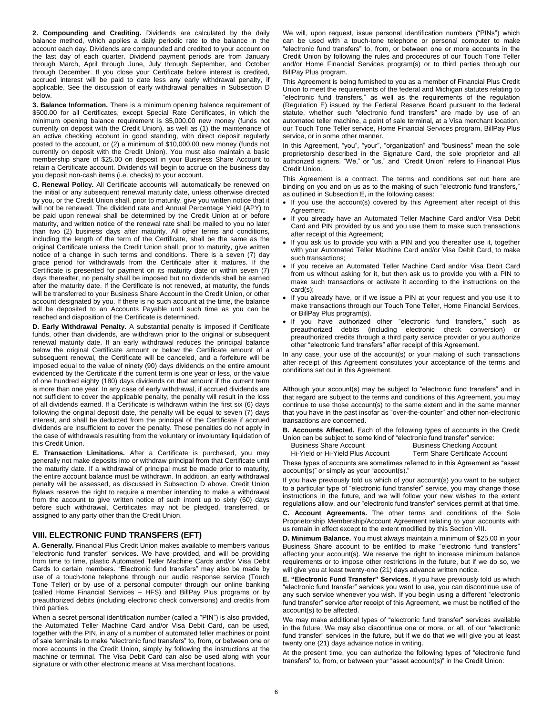**2. Compounding and Crediting.** Dividends are calculated by the daily balance method, which applies a daily periodic rate to the balance in the account each day. Dividends are compounded and credited to your account on the last day of each quarter. Dividend payment periods are from January through March, April through June, July through September, and October through December. If you close your Certificate before interest is credited, accrued interest will be paid to date less any early withdrawal penalty, if applicable. See the discussion of early withdrawal penalties in Subsection D below.

**3. Balance Information.** There is a minimum opening balance requirement of \$500.00 for all Certificates, except Special Rate Certificates, in which the minimum opening balance requirement is \$5,000.00 new money (funds not currently on deposit with the Credit Union), as well as (1) the maintenance of an active checking account in good standing, with direct deposit regularly posted to the account, or (2) a minimum of \$10,000.00 new money (funds not currently on deposit with the Credit Union). You must also maintain a basic membership share of \$25.00 on deposit in your Business Share Account to retain a Certificate account. Dividends will begin to accrue on the business day you deposit non-cash items (i.e. checks) to your account.

**C. Renewal Policy.** All Certificate accounts will automatically be renewed on the initial or any subsequent renewal maturity date, unless otherwise directed by you, or the Credit Union shall, prior to maturity, give you written notice that it will not be renewed. The dividend rate and Annual Percentage Yield (APY) to be paid upon renewal shall be determined by the Credit Union at or before maturity, and written notice of the renewal rate shall be mailed to you no later than two (2) business days after maturity. All other terms and conditions, including the length of the term of the Certificate, shall be the same as the original Certificate unless the Credit Union shall, prior to maturity, give written notice of a change in such terms and conditions. There is a seven (7) day grace period for withdrawals from the Certificate after it matures. If the Certificate is presented for payment on its maturity date or within seven (7) days thereafter, no penalty shall be imposed but no dividends shall be earned after the maturity date. If the Certificate is not renewed, at maturity, the funds will be transferred to your Business Share Account in the Credit Union, or other account designated by you. If there is no such account at the time, the balance will be deposited to an Accounts Payable until such time as you can be reached and disposition of the Certificate is determined.

**D. Early Withdrawal Penalty.** A substantial penalty is imposed if Certificate funds, other than dividends, are withdrawn prior to the original or subsequent renewal maturity date. If an early withdrawal reduces the principal balance below the original Certificate amount or below the Certificate amount of a subsequent renewal, the Certificate will be canceled, and a forfeiture will be imposed equal to the value of ninety (90) days dividends on the entire amount evidenced by the Certificate if the current term is one year or less, or the value of one hundred eighty (180) days dividends on that amount if the current term is more than one year. In any case of early withdrawal, if accrued dividends are not sufficient to cover the applicable penalty, the penalty will result in the loss of all dividends earned. If a Certificate is withdrawn within the first six (6) days following the original deposit date, the penalty will be equal to seven (7) days interest, and shall be deducted from the principal of the Certificate if accrued dividends are insufficient to cover the penalty. These penalties do not apply in the case of withdrawals resulting from the voluntary or involuntary liquidation of this Credit Union.

**E. Transaction Limitations.** After a Certificate is purchased, you may generally not make deposits into or withdraw principal from that Certificate until the maturity date. If a withdrawal of principal must be made prior to maturity, the entire account balance must be withdrawn. In addition, an early withdrawal penalty will be assessed, as discussed in Subsection D above. Credit Union Bylaws reserve the right to require a member intending to make a withdrawal from the account to give written notice of such intent up to sixty (60) days before such withdrawal. Certificates may not be pledged, transferred, or assigned to any party other than the Credit Union.

# **VIII. ELECTRONIC FUND TRANSFERS (EFT)**

**A. Generally.** Financial Plus Credit Union makes available to members various "electronic fund transfer" services. We have provided, and will be providing from time to time, plastic Automated Teller Machine Cards and/or Visa Debit Cards to certain members. "Electronic fund transfers" may also be made by use of a touch-tone telephone through our audio response service (Touch Tone Teller) or by use of a personal computer through our online banking (called Home Financial Services – HFS) and BillPay Plus programs or by preauthorized debits (including electronic check conversions) and credits from third parties.

When a secret personal identification number (called a "PIN") is also provided, the Automated Teller Machine Card and/or Visa Debit Card, can be used, together with the PIN, in any of a number of automated teller machines or point of sale terminals to make "electronic fund transfers" to, from, or between one or more accounts in the Credit Union, simply by following the instructions at the machine or terminal. The Visa Debit Card can also be used along with your signature or with other electronic means at Visa merchant locations.

We will, upon request, issue personal identification numbers ("PINs") which can be used with a touch-tone telephone or personal computer to make "electronic fund transfers" to, from, or between one or more accounts in the Credit Union by following the rules and procedures of our Touch Tone Teller and/or Home Financial Services program(s) or to third parties through our BillPay Plus program.

This Agreement is being furnished to you as a member of Financial Plus Credit Union to meet the requirements of the federal and Michigan statutes relating to "electronic fund transfers," as well as the requirements of the regulation (Regulation E) issued by the Federal Reserve Board pursuant to the federal statute, whether such "electronic fund transfers" are made by use of an automated teller machine, a point of sale terminal, at a Visa merchant location, our Touch Tone Teller service, Home Financial Services program, BillPay Plus service, or in some other manner.

In this Agreement, "you", "your", "organization" and "business" mean the sole proprietorship described in the Signature Card, the sole proprietor and all authorized signers. "We," or "us," and "Credit Union" refers to Financial Plus Credit Union.

This Agreement is a contract. The terms and conditions set out here are binding on you and on us as to the making of such "electronic fund transfers," as outlined in Subsection E, in the following cases:

- If you use the account(s) covered by this Agreement after receipt of this Agreement;
- . If you already have an Automated Teller Machine Card and/or Visa Debit Card and PIN provided by us and you use them to make such transactions after receipt of this Agreement;
- If you ask us to provide you with a PIN and you thereafter use it, together with your Automated Teller Machine Card and/or Visa Debit Card, to make such transactions;
- If you receive an Automated Teller Machine Card and/or Visa Debit Card from us without asking for it, but then ask us to provide you with a PIN to make such transactions or activate it according to the instructions on the card(s);
- If you already have, or if we issue a PIN at your request and you use it to make transactions through our Touch Tone Teller, Home Financial Services, or BillPay Plus program(s).
- If you have authorized other "electronic fund transfers," such as debits (including electronic check conversion) or preauthorized credits through a third party service provider or you authorize other "electronic fund transfers" after receipt of this Agreement.

In any case, your use of the account(s) or your making of such transactions after receipt of this Agreement constitutes your acceptance of the terms and conditions set out in this Agreement.

Although your account(s) may be subject to "electronic fund transfers" and in that regard are subject to the terms and conditions of this Agreement, you may continue to use those account(s) to the same extent and in the same manner that you have in the past insofar as "over-the-counter" and other non-electronic transactions are concerned.

**B. Accounts Affected.** Each of the following types of accounts in the Credit Union can be subject to some kind of "electronic fund transfer" service:

**Business Checking Account** Hi-Yield or Hi-Yield Plus Account Term Share Certificate Account

These types of accounts are sometimes referred to in this Agreement as "asset account(s)" or simply as your "account(s)."

If you have previously told us which of your account(s) you want to be subject to a particular type of "electronic fund transfer" service, you may change those instructions in the future, and we will follow your new wishes to the extent regulations allow, and our "electronic fund transfer" services permit at that time.

**C. Account Agreements.** The other terms and conditions of the Sole Proprietorship Membership/Account Agreement relating to your accounts with us remain in effect except to the extent modified by this Section VIII.

**D. Minimum Balance.** You must always maintain a minimum of \$25.00 in your Business Share account to be entitled to make "electronic fund transfers" affecting your account(s). We reserve the right to increase minimum balance requirements or to impose other restrictions in the future, but if we do so, we will give you at least twenty-one (21) days advance written notice.

**E. "Electronic Fund Transfer" Services.** If you have previously told us which "electronic fund transfer" services you want to use, you can discontinue use of any such service whenever you wish. If you begin using a different "electronic fund transfer" service after receipt of this Agreement, we must be notified of the account(s) to be affected.

We may make additional types of "electronic fund transfer" services available in the future. We may also discontinue one or more, or all, of our "electronic fund transfer" services in the future, but if we do that we will give you at least twenty one (21) days advance notice in writing.

At the present time, you can authorize the following types of "electronic fund transfers" to, from, or between your "asset account(s)" in the Credit Union: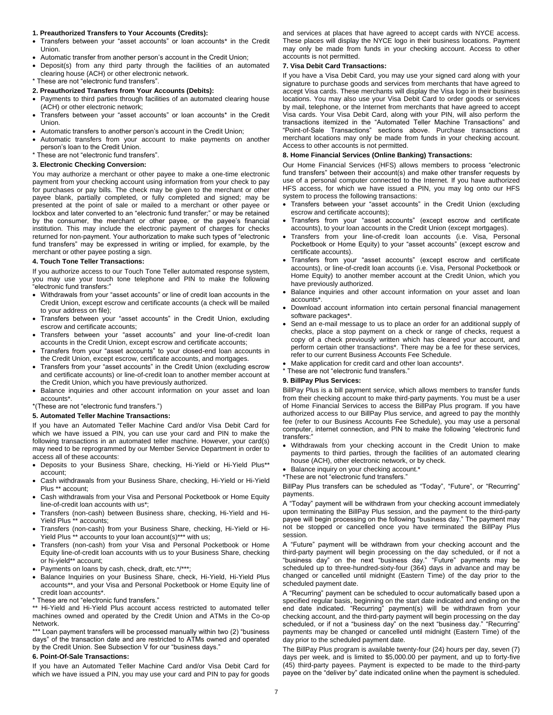#### **1. Preauthorized Transfers to Your Accounts (Credits):**

- Transfers between your "asset accounts" or loan accounts\* in the Credit Union.
- Automatic transfer from another person's account in the Credit Union;
- Deposit(s) from any third party through the facilities of an automated clearing house (ACH) or other electronic network.
- \* These are not "electronic fund transfers".

#### **2. Preauthorized Transfers from Your Accounts (Debits):**

- Payments to third parties through facilities of an automated clearing house (ACH) or other electronic network;
- Transfers between your "asset accounts" or loan accounts\* in the Credit Union.
- Automatic transfers to another person's account in the Credit Union;
- Automatic transfers from your account to make payments on another person's loan to the Credit Union.
- \* These are not "electronic fund transfers".

#### **3. Electronic Checking Conversion:**

You may authorize a merchant or other payee to make a one-time electronic payment from your checking account using information from your check to pay for purchases or pay bills. The check may be given to the merchant or other payee blank, partially completed, or fully completed and signed; may be presented at the point of sale or mailed to a merchant or other payee or lockbox and later converted to an "electronic fund transfer;" or may be retained by the consumer, the merchant or other payee, or the payee's financial institution. This may include the electronic payment of charges for checks returned for non-payment. Your authorization to make such types of "electronic fund transfers" may be expressed in writing or implied, for example, by the merchant or other payee posting a sign.

#### **4. Touch Tone Teller Transactions:**

If you authorize access to our Touch Tone Teller automated response system, you may use your touch tone telephone and PIN to make the following "electronic fund transfers:"

- Withdrawals from your "asset accounts" or line of credit loan accounts in the Credit Union, except escrow and certificate accounts (a check will be mailed to your address on file);
- Transfers between your "asset accounts" in the Credit Union, excluding escrow and certificate accounts;
- Transfers between your "asset accounts" and your line-of-credit loan accounts in the Credit Union, except escrow and certificate accounts;
- Transfers from your "asset accounts" to your closed-end loan accounts in the Credit Union, except escrow, certificate accounts, and mortgages.
- Transfers from your "asset accounts" in the Credit Union (excluding escrow and certificate accounts) or line-of-credit loan to another member account at the Credit Union, which you have previously authorized.
- Balance inquiries and other account information on your asset and loan accounts\*.

\*(These are not "electronic fund transfers.")

#### **5. Automated Teller Machine Transactions:**

If you have an Automated Teller Machine Card and/or Visa Debit Card for which we have issued a PIN, you can use your card and PIN to make the following transactions in an automated teller machine. However, your card(s) may need to be reprogrammed by our Member Service Department in order to access all of these accounts:

- Deposits to your Business Share, checking, Hi-Yield or Hi-Yield Plus\*\* account;
- Cash withdrawals from your Business Share, checking, Hi-Yield or Hi-Yield Plus \*\* account;
- Cash withdrawals from your Visa and Personal Pocketbook or Home Equity line-of-credit loan accounts with us\*;
- Transfers (non-cash) between Business share, checking, Hi-Yield and Hi-Yield Plus \*\* accounts;
- Transfers (non-cash) from your Business Share, checking, Hi-Yield or Hi-Yield Plus \*\* accounts to your loan account(s)\*\*\* with us;
- Transfers (non-cash) from your Visa and Personal Pocketbook or Home Equity line-of-credit loan accounts with us to your Business Share, checking or hi-yield\*\* account;
- Payments on loans by cash, check, draft, etc.\*/\*\*\*;
- Balance Inquiries on your Business Share, check, Hi-Yield, Hi-Yield Plus accounts\*\*, and your Visa and Personal Pocketbook or Home Equity line of credit loan accounts\*.
- \* These are not "electronic fund transfers."

\*\* Hi-Yield and Hi-Yield Plus account access restricted to automated teller machines owned and operated by the Credit Union and ATMs in the Co-op Network.

\*\*\* Loan payment transfers will be processed manually within two (2) "business days" of the transaction date and are restricted to ATMs owned and operated by the Credit Union. See Subsection V for our "business days."

#### **6. Point-Of-Sale Transactions:**

If you have an Automated Teller Machine Card and/or Visa Debit Card for which we have issued a PIN, you may use your card and PIN to pay for goods

and services at places that have agreed to accept cards with NYCE access. These places will display the NYCE logo in their business locations. Payment may only be made from funds in your checking account. Access to other accounts is not permitted.

#### **7. Visa Debit Card Transactions:**

If you have a Visa Debit Card, you may use your signed card along with your signature to purchase goods and services from merchants that have agreed to accept Visa cards. These merchants will display the Visa logo in their business locations. You may also use your Visa Debit Card to order goods or services by mail, telephone, or the Internet from merchants that have agreed to accept Visa cards. Your Visa Debit Card, along with your PIN, will also perform the transactions itemized in the "Automated Teller Machine Transactions" and "Point-of-Sale Transactions" sections above. Purchase transactions at merchant locations may only be made from funds in your checking account. Access to other accounts is not permitted.

### **8. Home Financial Services (Online Banking) Transactions:**

Our Home Financial Services (HFS) allows members to process "electronic fund transfers" between their account(s) and make other transfer requests by use of a personal computer connected to the Internet. If you have authorized HFS access, for which we have issued a PIN, you may log onto our HFS system to process the following transactions:

- Transfers between your "asset accounts" in the Credit Union (excluding escrow and certificate accounts);
- Transfers from your "asset accounts" (except escrow and certificate accounts), to your loan accounts in the Credit Union (except mortgages).
- Transfers from your line-of-credit loan accounts (i.e. Visa, Personal Pocketbook or Home Equity) to your "asset accounts" (except escrow and certificate accounts).
- Transfers from your "asset accounts" (except escrow and certificate accounts), or line-of-credit loan accounts (i.e. Visa, Personal Pocketbook or Home Equity) to another member account at the Credit Union, which you have previously authorized.
- Balance inquiries and other account information on your asset and loan accounts\*.
- Download account information into certain personal financial management software packages\*.
- Send an e-mail message to us to place an order for an additional supply of checks, place a stop payment on a check or range of checks, request a copy of a check previously written which has cleared your account, and perform certain other transactions\*. There may be a fee for these services, refer to our current Business Accounts Fee Schedule.
- Make application for credit card and other loan accounts\*.
- \* These are not "electronic fund transfers."

#### **9. BillPay Plus Services:**

BillPay Plus is a bill payment service, which allows members to transfer funds from their checking account to make third-party payments. You must be a user of Home Financial Services to access the BillPay Plus program. If you have authorized access to our BillPay Plus service, and agreed to pay the monthly fee (refer to our Business Accounts Fee Schedule), you may use a personal computer, internet connection, and PIN to make the following "electronic fund transfers:"

- Withdrawals from your checking account in the Credit Union to make payments to third parties, through the facilities of an automated clearing house (ACH), other electronic network, or by check.
- Balance inquiry on your checking account.\*
- \*These are not "electronic fund transfers."

BillPay Plus transfers can be scheduled as "Today", "Future", or "Recurring" payments.

A "Today" payment will be withdrawn from your checking account immediately upon terminating the BillPay Plus session, and the payment to the third-party payee will begin processing on the following "business day." The payment may not be stopped or cancelled once you have terminated the BillPay Plus session.

A "Future" payment will be withdrawn from your checking account and the third-party payment will begin processing on the day scheduled, or if not a "business day" on the next "business day." "Future" payments may be scheduled up to three-hundred-sixty-four (364) days in advance and may be changed or cancelled until midnight (Eastern Time) of the day prior to the scheduled payment date.

A "Recurring" payment can be scheduled to occur automatically based upon a specified regular basis, beginning on the start date indicated and ending on the end date indicated. "Recurring" payment(s) will be withdrawn from your checking account, and the third-party payment will begin processing on the day scheduled, or if not a "business day" on the next "business day." "Recurring" payments may be changed or cancelled until midnight (Eastern Time) of the day prior to the scheduled payment date.

The BillPay Plus program is available twenty-four (24) hours per day, seven (7) days per week, and is limited to \$5,000.00 per payment, and up to forty-five (45) third-party payees. Payment is expected to be made to the third-party payee on the "deliver by" date indicated online when the payment is scheduled.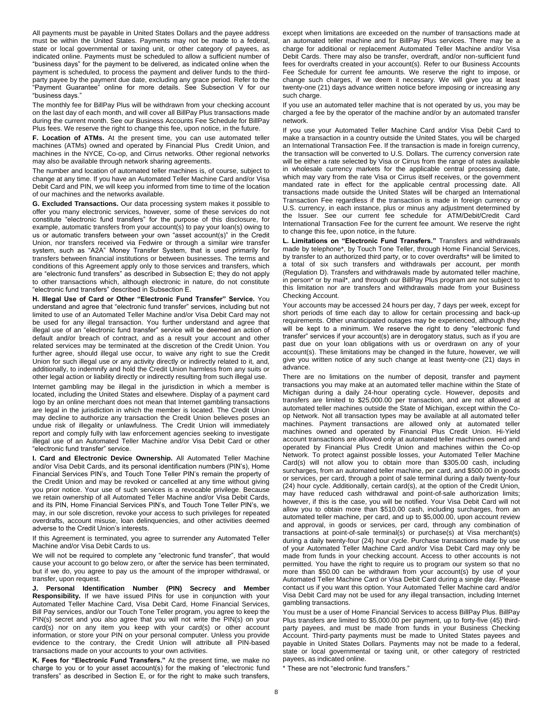All payments must be payable in United States Dollars and the payee address must be within the United States. Payments may not be made to a federal, state or local governmental or taxing unit, or other category of payees, as indicated online. Payments must be scheduled to allow a sufficient number of "business days" for the payment to be delivered, as indicated online when the payment is scheduled, to process the payment and deliver funds to the thirdparty payee by the payment due date, excluding any grace period. Refer to the "Payment Guarantee" online for more details. See Subsection V for our "business days."

The monthly fee for BillPay Plus will be withdrawn from your checking account on the last day of each month, and will cover all BillPay Plus transactions made during the current month. See our Business Accounts Fee Schedule for BillPay Plus fees. We reserve the right to change this fee, upon notice, in the future.

**F. Location of ATMs.** At the present time, you can use automated teller machines (ATMs) owned and operated by Financial Plus Credit Union, and machines in the NYCE, Co-op, and Cirrus networks. Other regional networks may also be available through network sharing agreements.

The number and location of automated teller machines is, of course, subject to change at any time. If you have an Automated Teller Machine Card and/or Visa Debit Card and PIN, we will keep you informed from time to time of the location of our machines and the networks available.

**G. Excluded Transactions.** Our data processing system makes it possible to offer you many electronic services, however, some of these services do not constitute "electronic fund transfers" for the purpose of this disclosure, for example, automatic transfers from your account(s) to pay your loan(s) owing to us or automatic transfers between your own "asset account(s)" in the Credit Union, nor transfers received via Fedwire or through a similar wire transfer system, such as "A2A" Money Transfer System, that is used primarily for transfers between financial institutions or between businesses. The terms and conditions of this Agreement apply only to those services and transfers, which are "electronic fund transfers" as described in Subsection E; they do not apply to other transactions which, although electronic in nature, do not constitute "electronic fund transfers" described in Subsection E.

**H. Illegal Use of Card or Other "Electronic Fund Transfer" Service.** You understand and agree that "electronic fund transfer" services, including but not limited to use of an Automated Teller Machine and/or Visa Debit Card may not be used for any illegal transaction. You further understand and agree that illegal use of an "electronic fund transfer" service will be deemed an action of default and/or breach of contract, and as a result your account and other related services may be terminated at the discretion of the Credit Union. You further agree, should illegal use occur, to waive any right to sue the Credit Union for such illegal use or any activity directly or indirectly related to it, and, additionally, to indemnify and hold the Credit Union harmless from any suits or other legal action or liability directly or indirectly resulting from such illegal use.

Internet gambling may be illegal in the jurisdiction in which a member is located, including the United States and elsewhere. Display of a payment card logo by an online merchant does not mean that Internet gambling transactions are legal in the jurisdiction in which the member is located. The Credit Union may decline to authorize any transaction the Credit Union believes poses an undue risk of illegality or unlawfulness. The Credit Union will immediately report and comply fully with law enforcement agencies seeking to investigate illegal use of an Automated Teller Machine and/or Visa Debit Card or other "electronic fund transfer" service.

**I. Card and Electronic Device Ownership.** All Automated Teller Machine and/or Visa Debit Cards, and its personal identification numbers (PIN's), Home Financial Services PIN's, and Touch Tone Teller PIN's remain the property of the Credit Union and may be revoked or cancelled at any time without giving you prior notice. Your use of such services is a revocable privilege. Because we retain ownership of all Automated Teller Machine and/or Visa Debit Cards, and its PIN, Home Financial Services PIN's, and Touch Tone Teller PIN's, we may, in our sole discretion, revoke your access to such privileges for repeated overdrafts, account misuse, loan delinquencies, and other activities deemed adverse to the Credit Union's interests.

If this Agreement is terminated, you agree to surrender any Automated Teller Machine and/or Visa Debit Cards to us.

We will not be required to complete any "electronic fund transfer", that would cause your account to go below zero, or after the service has been terminated, but if we do, you agree to pay us the amount of the improper withdrawal, or transfer, upon request.

**J. Personal Identification Number (PIN) Secrecy and Member Responsibility.** If we have issued PINs for use in conjunction with your Automated Teller Machine Card, Visa Debit Card, Home Financial Services, Bill Pay services, and/or our Touch Tone Teller program, you agree to keep the PIN(s) secret and you also agree that you will not write the PIN(s) on your card(s) nor on any item you keep with your card(s) or other account information, or store your PIN on your personal computer. Unless you provide evidence to the contrary, the Credit Union will attribute all PIN-based transactions made on your accounts to your own activities.

**K. Fees for "Electronic Fund Transfers."** At the present time, we make no charge to you or to your asset account(s) for the making of "electronic fund transfers" as described in Section E, or for the right to make such transfers,

except when limitations are exceeded on the number of transactions made at an automated teller machine and for BillPay Plus services. There may be a charge for additional or replacement Automated Teller Machine and/or Visa Debit Cards. There may also be transfer, overdraft, and/or non-sufficient fund fees for overdrafts created in your account(s). Refer to our Business Accounts Fee Schedule for current fee amounts. We reserve the right to impose, or change such charges, if we deem it necessary. We will give you at least twenty-one (21) days advance written notice before imposing or increasing any such charge.

If you use an automated teller machine that is not operated by us, you may be charged a fee by the operator of the machine and/or by an automated transfer network.

If you use your Automated Teller Machine Card and/or Visa Debit Card to make a transaction in a country outside the United States, you will be charged an International Transaction Fee. If the transaction is made in foreign currency, the transaction will be converted to U.S. Dollars. The currency conversion rate will be either a rate selected by Visa or Cirrus from the range of rates available in wholesale currency markets for the applicable central processing date, which may vary from the rate Visa or Cirrus itself receives, or the government mandated rate in effect for the applicable central processing date. All transactions made outside the United States will be charged an International Transaction Fee regardless if the transaction is made in foreign currency or U.S. currency, in each instance, plus or minus any adjustment determined by the Issuer. See our current fee schedule for ATM/Debit/Credit Card International Transaction Fee for the current fee amount. We reserve the right to change this fee, upon notice, in the future.

**L. Limitations on "Electronic Fund Transfers."** Transfers and withdrawals made by telephone\*, by Touch Tone Teller, through Home Financial Services, by transfer to an authorized third party, or to cover overdrafts\* will be limited to a total of six such transfers and withdrawals per account, per month (Regulation D). Transfers and withdrawals made by automated teller machine, in person\* or by mail\*, and through our BillPay Plus program are not subject to this limitation nor are transfers and withdrawals made from your Business Checking Account.

Your accounts may be accessed 24 hours per day, 7 days per week, except for short periods of time each day to allow for certain processing and back-up requirements. Other unanticipated outages may be experienced, although they will be kept to a minimum. We reserve the right to deny "electronic fund transfer" services if your account(s) are in derogatory status, such as if you are past due on your loan obligations with us or overdrawn on any of your account(s). These limitations may be changed in the future, however, we will give you written notice of any such change at least twenty-one (21) days in advance.

There are no limitations on the number of deposit, transfer and payment transactions you may make at an automated teller machine within the State of Michigan during a daily 24-hour operating cycle. However, deposits and transfers are limited to \$25,000.00 per transaction, and are not allowed at automated teller machines outside the State of Michigan, except within the Coop Network. Not all transaction types may be available at all automated teller machines. Payment transactions are allowed only at automated teller machines owned and operated by Financial Plus Credit Union. Hi-Yield account transactions are allowed only at automated teller machines owned and operated by Financial Plus Credit Union and machines within the Co-op Network. To protect against possible losses, your Automated Teller Machine Card(s) will not allow you to obtain more than \$305.00 cash, including surcharges, from an automated teller machine, per card, and \$500.00 in goods or services, per card, through a point of sale terminal during a daily twenty-four (24) hour cycle. Additionally, certain card(s), at the option of the Credit Union, may have reduced cash withdrawal and point-of-sale authorization limits; however, if this is the case, you will be notified. Your Visa Debit Card will not allow you to obtain more than \$510.00 cash, including surcharges, from an automated teller machine, per card, and up to \$5,000.00, upon account review and approval, in goods or services, per card, through any combination of transactions at point-of-sale terminal(s) or purchase(s) at Visa merchant(s) during a daily twenty-four (24) hour cycle. Purchase transactions made by use of your Automated Teller Machine Card and/or Visa Debit Card may only be made from funds in your checking account. Access to other accounts is not permitted. You have the right to require us to program our system so that no more than \$50.00 can be withdrawn from your account(s) by use of your Automated Teller Machine Card or Visa Debit Card during a single day. Please contact us if you want this option. Your Automated Teller Machine card and/or Visa Debit Card may not be used for any illegal transaction, including Internet gambling transactions.

You must be a user of Home Financial Services to access BillPay Plus. BillPay Plus transfers are limited to \$5,000.00 per payment, up to forty-five (45) thirdparty payees, and must be made from funds in your Business Checking Account. Third-party payments must be made to United States payees and payable in United States Dollars. Payments may not be made to a federal, state or local governmental or taxing unit, or other category of restricted payees, as indicated online.

\* These are not "electronic fund transfers."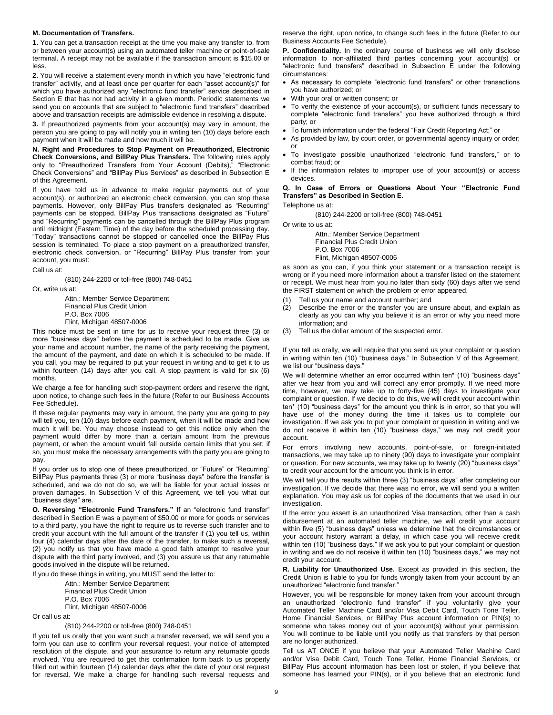#### **M. Documentation of Transfers.**

**1.** You can get a transaction receipt at the time you make any transfer to, from or between your account(s) using an automated teller machine or point-of-sale terminal. A receipt may not be available if the transaction amount is \$15.00 or less.

**2.** You will receive a statement every month in which you have "electronic fund transfer" activity, and at least once per quarter for each "asset account(s)" for which you have authorized any "electronic fund transfer" service described in Section E that has not had activity in a given month. Periodic statements we send you on accounts that are subject to "electronic fund transfers" described above and transaction receipts are admissible evidence in resolving a dispute.

**3.** If preauthorized payments from your account(s) may vary in amount, the person you are going to pay will notify you in writing ten (10) days before each payment when it will be made and how much it will be.

**N. Right and Procedures to Stop Payment on Preauthorized, Electronic Check Conversions, and BillPay Plus Transfers.** The following rules apply only to "Preauthorized Transfers from Your Account (Debits)," "Electronic Check Conversions" and "BillPay Plus Services" as described in Subsection E of this Agreement.

If you have told us in advance to make regular payments out of your account(s), or authorized an electronic check conversion, you can stop these payments. However, only BillPay Plus transfers designated as "Recurring" payments can be stopped. BillPay Plus transactions designated as "Future" and "Recurring" payments can be cancelled through the BillPay Plus program until midnight (Eastern Time) of the day before the scheduled processing day. "Today" transactions cannot be stopped or cancelled once the BillPay Plus session is terminated. To place a stop payment on a preauthorized transfer, electronic check conversion, or "Recurring" BillPay Plus transfer from your account, you must:

Call us at:

(810) 244-2200 or toll-free (800) 748-0451

Or, write us at:

Attn.: Member Service Department Financial Plus Credit Union P.O. Box 7006 Flint, Michigan 48507-0006

This notice must be sent in time for us to receive your request three (3) or more "business days" before the payment is scheduled to be made. Give us your name and account number, the name of the party receiving the payment, the amount of the payment, and date on which it is scheduled to be made. If you call, you may be required to put your request in writing and to get it to us within fourteen (14) days after you call. A stop payment is valid for six (6) months.

We charge a fee for handling such stop-payment orders and reserve the right, upon notice, to change such fees in the future (Refer to our Business Accounts Fee Schedule).

If these regular payments may vary in amount, the party you are going to pay will tell you, ten (10) days before each payment, when it will be made and how much it will be. You may choose instead to get this notice only when the payment would differ by more than a certain amount from the previous payment, or when the amount would fall outside certain limits that you set; if so, you must make the necessary arrangements with the party you are going to pay.

If you order us to stop one of these preauthorized, or "Future" or "Recurring" BillPay Plus payments three (3) or more "business days" before the transfer is scheduled, and we do not do so, we will be liable for your actual losses or proven damages. In Subsection V of this Agreement, we tell you what our "business days" are.

**O. Reversing "Electronic Fund Transfers."** If an "electronic fund transfer" described in Section E was a payment of \$50.00 or more for goods or services to a third party, you have the right to require us to reverse such transfer and to credit your account with the full amount of the transfer if (1) you tell us, within four (4) calendar days after the date of the transfer, to make such a reversal, (2) you notify us that you have made a good faith attempt to resolve your dispute with the third party involved, and (3) you assure us that any returnable goods involved in the dispute will be returned.

If you do these things in writing, you MUST send the letter to:

Attn.: Member Service Department Financial Plus Credit Union P.O. Box 7006 Flint, Michigan 48507-0006

Or call us at:

(810) 244-2200 or toll-free (800) 748-0451

If you tell us orally that you want such a transfer reversed, we will send you a form you can use to confirm your reversal request, your notice of attempted resolution of the dispute, and your assurance to return any returnable goods involved. You are required to get this confirmation form back to us properly filled out within fourteen (14) calendar days after the date of your oral request for reversal. We make a charge for handling such reversal requests and reserve the right, upon notice, to change such fees in the future (Refer to our Business Accounts Fee Schedule).

**P. Confidentiality.** In the ordinary course of business we will only disclose information to non-affiliated third parties concerning your account(s) or "electronic fund transfers" described in Subsection E under the following circumstances:

- As necessary to complete "electronic fund transfers" or other transactions you have authorized; or
- With your oral or written consent; or
- To verify the existence of your account(s), or sufficient funds necessary to complete "electronic fund transfers" you have authorized through a third party; or
- To furnish information under the federal "Fair Credit Reporting Act;" or
- As provided by law, by court order, or governmental agency inquiry or order; or
- To investigate possible unauthorized "electronic fund transfers," or to combat fraud; or
- If the information relates to improper use of your account(s) or access devices.

# **Q. In Case of Errors or Questions About Your "Electronic Fund Transfers" as Described in Section E.**

Telephone us at:

(810) 244-2200 or toll-free (800) 748-0451

Or write to us at:

Attn.: Member Service Department Financial Plus Credit Union P.O. Box 7006 Flint, Michigan 48507-0006

as soon as you can, if you think your statement or a transaction receipt is wrong or if you need more information about a transfer listed on the statement or receipt. We must hear from you no later than sixty (60) days after we send the FIRST statement on which the problem or error appeared.

- (1) Tell us your name and account number; and
- (2) Describe the error or the transfer you are unsure about, and explain as clearly as you can why you believe it is an error or why you need more information; and
- (3) Tell us the dollar amount of the suspected error.

If you tell us orally, we will require that you send us your complaint or question in writing within ten (10) "business days." In Subsection V of this Agreement, we list our "business days."

We will determine whether an error occurred within ten\* (10) "business days" after we hear from you and will correct any error promptly. If we need more time, however, we may take up to forty-five (45) days to investigate your complaint or question. If we decide to do this, we will credit your account within ten\* (10) "business days" for the amount you think is in error, so that you will have use of the money during the time it takes us to complete our investigation. If we ask you to put your complaint or question in writing and we do not receive it within ten (10) "business days," we may not credit your account.

For errors involving new accounts, point-of-sale, or foreign-initiated transactions, we may take up to ninety (90) days to investigate your complaint or question. For new accounts, we may take up to twenty (20) "business days" to credit your account for the amount you think is in error.

We will tell you the results within three (3) "business days" after completing our investigation. If we decide that there was no error, we will send you a written explanation. You may ask us for copies of the documents that we used in our investigation.

If the error you assert is an unauthorized Visa transaction, other than a cash disbursement at an automated teller machine, we will credit your account within five (5) "business days" unless we determine that the circumstances or your account history warrant a delay, in which case you will receive credit within ten (10) "business days." If we ask you to put your complaint or question in writing and we do not receive it within ten (10) "business days," we may not credit your account.

**R. Liability for Unauthorized Use.** Except as provided in this section, the Credit Union is liable to you for funds wrongly taken from your account by an unauthorized "electronic fund transfer."

However, you will be responsible for money taken from your account through an unauthorized "electronic fund transfer" if you voluntarily give your Automated Teller Machine Card and/or Visa Debit Card, Touch Tone Teller, Home Financial Services, or BillPay Plus account information or PIN(s) to someone who takes money out of your account(s) without your permission. You will continue to be liable until you notify us that transfers by that person are no longer authorized.

Tell us AT ONCE if you believe that your Automated Teller Machine Card and/or Visa Debit Card, Touch Tone Teller, Home Financial Services, or BillPay Plus account information has been lost or stolen, if you believe that someone has learned your PIN(s), or if you believe that an electronic fund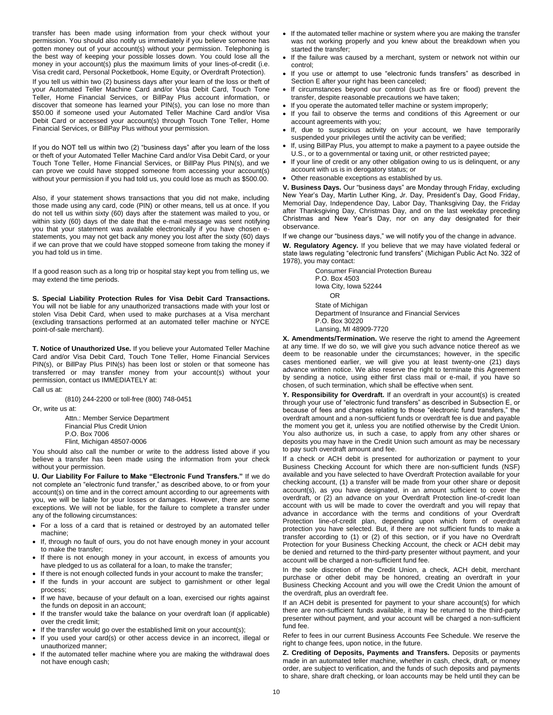transfer has been made using information from your check without your permission. You should also notify us immediately if you believe someone has gotten money out of your account(s) without your permission. Telephoning is the best way of keeping your possible losses down. You could lose all the money in your account(s) plus the maximum limits of your lines-of-credit (i.e. Visa credit card, Personal Pocketbook, Home Equity, or Overdraft Protection).

If you tell us within two (2) business days after your learn of the loss or theft of your Automated Teller Machine Card and/or Visa Debit Card, Touch Tone Teller, Home Financial Services, or BillPay Plus account information, or discover that someone has learned your PIN(s), you can lose no more than \$50.00 if someone used your Automated Teller Machine Card and/or Visa Debit Card or accessed your account(s) through Touch Tone Teller, Home Financial Services, or BillPay Plus without your permission.

If you do NOT tell us within two (2) "business days" after you learn of the loss or theft of your Automated Teller Machine Card and/or Visa Debit Card, or your Touch Tone Teller, Home Financial Services, or BillPay Plus PIN(s), and we can prove we could have stopped someone from accessing your account(s) without your permission if you had told us, you could lose as much as \$500.00.

Also, if your statement shows transactions that you did not make, including those made using any card, code (PIN) or other means, tell us at once. If you do not tell us within sixty (60) days after the statement was mailed to you, or within sixty (60) days of the date that the e-mail message was sent notifying you that your statement was available electronically if you have chosen estatements, you may not get back any money you lost after the sixty (60) days if we can prove that we could have stopped someone from taking the money if you had told us in time.

If a good reason such as a long trip or hospital stay kept you from telling us, we may extend the time periods.

**S. Special Liability Protection Rules for Visa Debit Card Transactions.** You will not be liable for any unauthorized transactions made with your lost or stolen Visa Debit Card, when used to make purchases at a Visa merchant (excluding transactions performed at an automated teller machine or NYCE point-of-sale merchant).

**T. Notice of Unauthorized Use.** If you believe your Automated Teller Machine Card and/or Visa Debit Card, Touch Tone Teller, Home Financial Services PIN(s), or BillPay Plus PIN(s) has been lost or stolen or that someone has transferred or may transfer money from your account(s) without your permission, contact us IMMEDIATELY at:

(810) 244-2200 or toll-free (800) 748-0451

Or, write us at:

Call us at:

Attn.: Member Service Department Financial Plus Credit Union

- P.O. Box 7006
- Flint, Michigan 48507-0006

You should also call the number or write to the address listed above if you believe a transfer has been made using the information from your check without your permission.

**U. Our Liability For Failure to Make "Electronic Fund Transfers."** If we do not complete an "electronic fund transfer," as described above, to or from your account(s) on time and in the correct amount according to our agreements with you, we will be liable for your losses or damages. However, there are some exceptions. We will not be liable, for the failure to complete a transfer under any of the following circumstances:

- For a loss of a card that is retained or destroyed by an automated teller machine;
- . If, through no fault of ours, you do not have enough money in your account to make the transfer;
- If there is not enough money in your account, in excess of amounts you have pledged to us as collateral for a loan, to make the transfer;
- If there is not enough collected funds in your account to make the transfer;
- If the funds in your account are subject to garnishment or other legal process;
- If we have, because of your default on a loan, exercised our rights against the funds on deposit in an account;
- If the transfer would take the balance on your overdraft loan (if applicable) over the credit limit;
- If the transfer would go over the established limit on your account(s);
- If you used your card(s) or other access device in an incorrect, illegal or unauthorized manner;
- If the automated teller machine where you are making the withdrawal does not have enough cash;
- If the automated teller machine or system where you are making the transfer was not working properly and you knew about the breakdown when you started the transfer;
- If the failure was caused by a merchant, system or network not within our control;
- If you use or attempt to use "electronic funds transfers" as described in Section E after your right has been canceled;
- If circumstances beyond our control (such as fire or flood) prevent the transfer, despite reasonable precautions we have taken;
- If you operate the automated teller machine or system improperly;
- If you fail to observe the terms and conditions of this Agreement or our account agreements with you;
- If, due to suspicious activity on your account, we have temporarily suspended your privileges until the activity can be verified;
- If, using BillPay Plus, you attempt to make a payment to a payee outside the U.S., or to a governmental or taxing unit, or other restricted payee;
- If your line of credit or any other obligation owing to us is delinquent, or any account with us is in derogatory status; or
- Other reasonable exceptions as established by us.

**V. Business Days.** Our "business days" are Monday through Friday, excluding New Year's Day, Martin Luther King, Jr. Day, President's Day, Good Friday, Memorial Day, Independence Day, Labor Day, Thanksgiving Day, the Friday after Thanksgiving Day, Christmas Day, and on the last weekday preceding Christmas and New Year's Day, nor on any day designated for their observance.

If we change our "business days," we will notify you of the change in advance.

**W. Regulatory Agency.** If you believe that we may have violated federal or state laws regulating "electronic fund transfers" (Michigan Public Act No. 322 of 1978), you may contact:

Consumer Financial Protection Bureau P.O. Box 4503 Iowa City, Iowa 52244 OR State of Michigan

Department of Insurance and Financial Services P.O. Box 30220 Lansing, MI 48909-7720

**X. Amendments/Termination.** We reserve the right to amend the Agreement at any time. If we do so, we will give you such advance notice thereof as we deem to be reasonable under the circumstances; however, in the specific cases mentioned earlier, we will give you at least twenty-one (21) days advance written notice. We also reserve the right to terminate this Agreement by sending a notice, using either first class mail or e-mail, if you have so chosen, of such termination, which shall be effective when sent.

**Y. Responsibility for Overdraft.** If an overdraft in your account(s) is created through your use of "electronic fund transfers" as described in Subsection E, or because of fees and charges relating to those "electronic fund transfers," the overdraft amount and a non-sufficient funds or overdraft fee is due and payable the moment you get it, unless you are notified otherwise by the Credit Union. You also authorize us, in such a case, to apply from any other shares or deposits you may have in the Credit Union such amount as may be necessary to pay such overdraft amount and fee.

If a check or ACH debit is presented for authorization or payment to your Business Checking Account for which there are non-sufficient funds (NSF) available and you have selected to have Overdraft Protection available for your checking account, (1) a transfer will be made from your other share or deposit account(s), as you have designated, in an amount sufficient to cover the overdraft, or (2) an advance on your Overdraft Protection line-of-credit loan account with us will be made to cover the overdraft and you will repay that advance in accordance with the terms and conditions of your Overdraft Protection line-of-credit plan, depending upon which form of overdraft protection you have selected. But, if there are not sufficient funds to make a transfer according to (1) or (2) of this section, or if you have no Overdraft Protection for your Business Checking Account, the check or ACH debit may be denied and returned to the third-party presenter without payment, and your account will be charged a non-sufficient fund fee.

In the sole discretion of the Credit Union, a check, ACH debit, merchant purchase or other debit may be honored, creating an overdraft in your Business Checking Account and you will owe the Credit Union the amount of the overdraft, plus an overdraft fee.

If an ACH debit is presented for payment to your share account(s) for which there are non-sufficient funds available, it may be returned to the third-party presenter without payment, and your account will be charged a non-sufficient fund fee.

Refer to fees in our current Business Accounts Fee Schedule. We reserve the right to change fees, upon notice, in the future.

**Z. Crediting of Deposits, Payments and Transfers.** Deposits or payments made in an automated teller machine, whether in cash, check, draft, or money order, are subject to verification, and the funds of such deposits and payments to share, share draft checking, or loan accounts may be held until they can be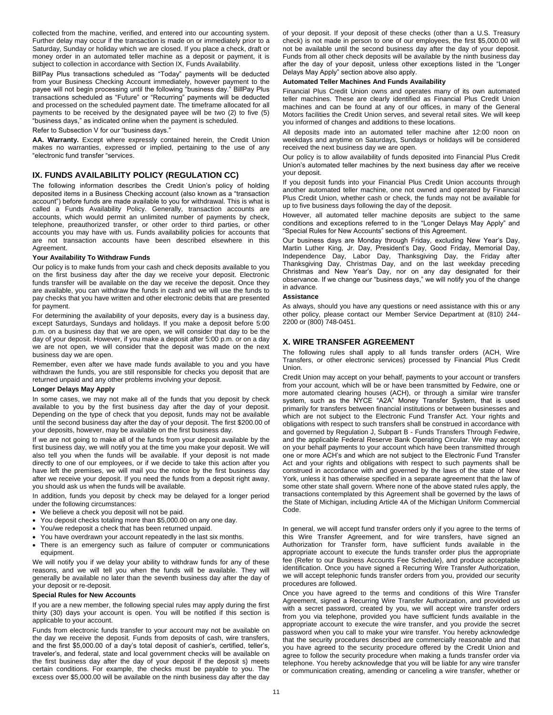collected from the machine, verified, and entered into our accounting system. Further delay may occur if the transaction is made on or immediately prior to a Saturday, Sunday or holiday which we are closed. If you place a check, draft or money order in an automated teller machine as a deposit or payment, it is subject to collection in accordance with Section IX, Funds Availability.

BillPay Plus transactions scheduled as "Today" payments will be deducted from your Business Checking Account immediately, however payment to the payee will not begin processing until the following "business day." BillPay Plus transactions scheduled as "Future" or "Recurring" payments will be deducted and processed on the scheduled payment date. The timeframe allocated for all payments to be received by the designated payee will be two (2) to five (5) "business days," as indicated online when the payment is scheduled.

Refer to Subsection V for our "business days."

**AA. Warranty.** Except where expressly contained herein, the Credit Union makes no warranties, expressed or implied, pertaining to the use of any "electronic fund transfer "services.

# **IX. FUNDS AVAILABILITY POLICY (REGULATION CC)**

The following information describes the Credit Union's policy of holding deposited items in a Business Checking account (also known as a "transaction account") before funds are made available to you for withdrawal. This is what is called a Funds Availability Policy. Generally, transaction accounts are accounts, which would permit an unlimited number of payments by check, telephone, preauthorized transfer, or other order to third parties, or other accounts you may have with us. Funds availability policies for accounts that are not transaction accounts have been described elsewhere in this Agreement.

#### **Your Availability To Withdraw Funds**

Our policy is to make funds from your cash and check deposits available to you on the first business day after the day we receive your deposit. Electronic funds transfer will be available on the day we receive the deposit. Once they are available, you can withdraw the funds in cash and we will use the funds to pay checks that you have written and other electronic debits that are presented for payment.

For determining the availability of your deposits, every day is a business day, except Saturdays, Sundays and holidays. If you make a deposit before 5:00 p.m. on a business day that we are open, we will consider that day to be the day of your deposit. However, if you make a deposit after 5:00 p.m. or on a day we are not open, we will consider that the deposit was made on the next business day we are open.

Remember, even after we have made funds available to you and you have withdrawn the funds, you are still responsible for checks you deposit that are returned unpaid and any other problems involving your deposit.

#### **Longer Delays May Apply**

In some cases, we may not make all of the funds that you deposit by check available to you by the first business day after the day of your deposit. Depending on the type of check that you deposit, funds may not be available until the second business day after the day of your deposit. The first \$200.00 of your deposits, however, may be available on the first business day.

If we are not going to make all of the funds from your deposit available by the first business day, we will notify you at the time you make your deposit. We will also tell you when the funds will be available. If your deposit is not made directly to one of our employees, or if we decide to take this action after you have left the premises, we will mail you the notice by the first business day after we receive your deposit. If you need the funds from a deposit right away, you should ask us when the funds will be available.

In addition, funds you deposit by check may be delayed for a longer period under the following circumstances:

- We believe a check you deposit will not be paid.
- You deposit checks totaling more than \$5,000.00 on any one day.
- You/we redeposit a check that has been returned unpaid.
- You have overdrawn your account repeatedly in the last six months.
- There is an emergency such as failure of computer or communications equipment.

We will notify you if we delay your ability to withdraw funds for any of these reasons, and we will tell you when the funds will be available. They will generally be available no later than the seventh business day after the day of your deposit or re-deposit.

#### **Special Rules for New Accounts**

If you are a new member, the following special rules may apply during the first thirty (30) days your account is open. You will be notified if this section is applicable to your account.

Funds from electronic funds transfer to your account may not be available on the day we receive the deposit. Funds from deposits of cash, wire transfers, and the first \$5,000.00 of a day's total deposit of cashier's, certified, teller's, traveler's, and federal, state and local government checks will be available on the first business day after the day of your deposit if the deposit s) meets certain conditions. For example, the checks must be payable to you. The excess over \$5,000.00 will be available on the ninth business day after the day

of your deposit. If your deposit of these checks (other than a U.S. Treasury check) is not made in person to one of our employees, the first \$5,000.00 will not be available until the second business day after the day of your deposit. Funds from all other check deposits will be available by the ninth business day after the day of your deposit, unless other exceptions listed in the "Longer Delays May Apply" section above also apply.

#### **Automated Teller Machines And Funds Availability**

Financial Plus Credit Union owns and operates many of its own automated teller machines. These are clearly identified as Financial Plus Credit Union machines and can be found at any of our offices, in many of the General Motors facilities the Credit Union serves, and several retail sites. We will keep you informed of changes and additions to these locations.

All deposits made into an automated teller machine after 12:00 noon on weekdays and anytime on Saturdays, Sundays or holidays will be considered received the next business day we are open.

Our policy is to allow availability of funds deposited into Financial Plus Credit Union's automated teller machines by the next business day after we receive your deposit.

If you deposit funds into your Financial Plus Credit Union accounts through another automated teller machine, one not owned and operated by Financial Plus Credit Union, whether cash or check, the funds may not be available for up to five business days following the day of the deposit.

However, all automated teller machine deposits are subject to the same conditions and exceptions referred to in the "Longer Delays May Apply" and "Special Rules for New Accounts" sections of this Agreement.

Our business days are Monday through Friday, excluding New Year's Day, Martin Luther King, Jr. Day, President's Day, Good Friday, Memorial Day, Independence Day, Labor Day, Thanksgiving Day, the Friday after Thanksgiving Day, Christmas Day, and on the last weekday preceding Christmas and New Year's Day, nor on any day designated for their observance. If we change our "business days," we will notify you of the change in advance.

#### **Assistance**

As always, should you have any questions or need assistance with this or any other policy, please contact our Member Service Department at (810) 244- 2200 or (800) 748-0451.

# **X. WIRE TRANSFER AGREEMENT**

The following rules shall apply to all funds transfer orders (ACH, Wire Transfers, or other electronic services) processed by Financial Plus Credit Union.

Credit Union may accept on your behalf, payments to your account or transfers from your account, which will be or have been transmitted by Fedwire, one or more automated clearing houses (ACH), or through a similar wire transfer system, such as the NYCE "A2A" Money Transfer System, that is used primarily for transfers between financial institutions or between businesses and which are not subject to the Electronic Fund Transfer Act. Your rights and obligations with respect to such transfers shall be construed in accordance with and governed by Regulation J, Subpart B - Funds Transfers Through Fedwire, and the applicable Federal Reserve Bank Operating Circular. We may accept on your behalf payments to your account which have been transmitted through one or more ACH's and which are not subject to the Electronic Fund Transfer Act and your rights and obligations with respect to such payments shall be construed in accordance with and governed by the laws of the state of New York, unless it has otherwise specified in a separate agreement that the law of some other state shall govern. Where none of the above stated rules apply, the transactions contemplated by this Agreement shall be governed by the laws of the State of Michigan, including Article 4A of the Michigan Uniform Commercial Code.

In general, we will accept fund transfer orders only if you agree to the terms of this Wire Transfer Agreement, and for wire transfers, have signed an Authorization for Transfer form, have sufficient funds available in the appropriate account to execute the funds transfer order plus the appropriate fee (Refer to our Business Accounts Fee Schedule), and produce acceptable identification. Once you have signed a Recurring Wire Transfer Authorization, we will accept telephonic funds transfer orders from you, provided our security procedures are followed.

Once you have agreed to the terms and conditions of this Wire Transfer Agreement, signed a Recurring Wire Transfer Authorization, and provided us with a secret password, created by you, we will accept wire transfer orders from you via telephone, provided you have sufficient funds available in the appropriate account to execute the wire transfer, and you provide the secret password when you call to make your wire transfer. You hereby acknowledge that the security procedures described are commercially reasonable and that you have agreed to the security procedure offered by the Credit Union and agree to follow the security procedure when making a funds transfer order via telephone. You hereby acknowledge that you will be liable for any wire transfer or communication creating, amending or canceling a wire transfer, whether or